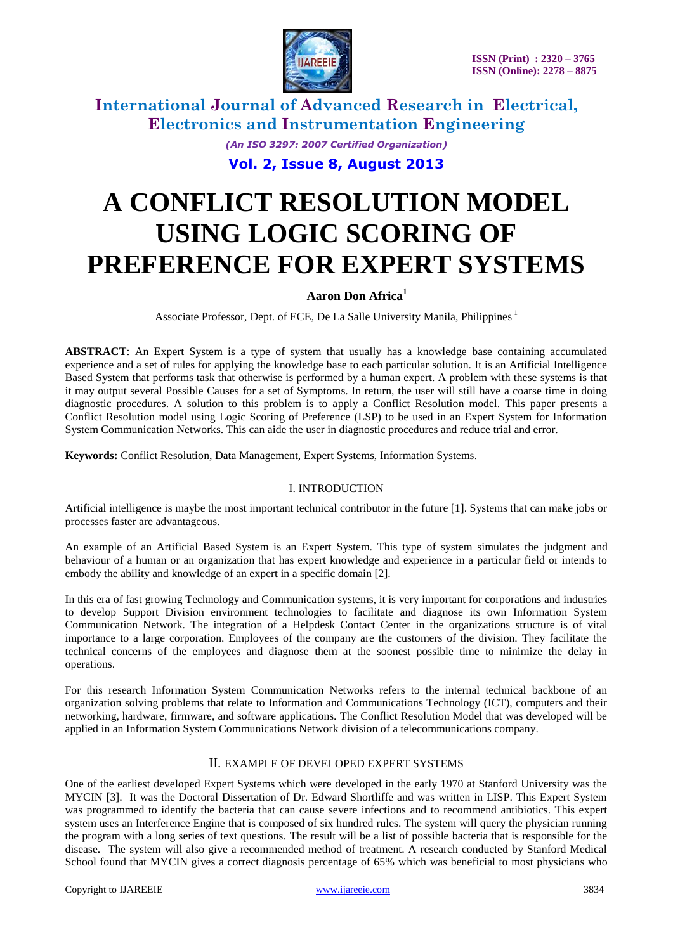

*(An ISO 3297: 2007 Certified Organization)*

**Vol. 2, Issue 8, August 2013**

# **A CONFLICT RESOLUTION MODEL USING LOGIC SCORING OF PREFERENCE FOR EXPERT SYSTEMS**

#### **Aaron Don Africa<sup>1</sup>**

Associate Professor, Dept. of ECE, De La Salle University Manila, Philippines  $<sup>1</sup>$ </sup>

**ABSTRACT**: An Expert System is a type of system that usually has a knowledge base containing accumulated experience and a set of rules for applying the knowledge base to each particular solution. It is an Artificial Intelligence Based System that performs task that otherwise is performed by a human expert. A problem with these systems is that it may output several Possible Causes for a set of Symptoms. In return, the user will still have a coarse time in doing diagnostic procedures. A solution to this problem is to apply a Conflict Resolution model. This paper presents a Conflict Resolution model using Logic Scoring of Preference (LSP) to be used in an Expert System for Information System Communication Networks. This can aide the user in diagnostic procedures and reduce trial and error.

**Keywords:** Conflict Resolution, Data Management, Expert Systems, Information Systems.

#### I. INTRODUCTION

Artificial intelligence is maybe the most important technical contributor in the future [1]. Systems that can make jobs or processes faster are advantageous.

An example of an Artificial Based System is an Expert System. This type of system simulates the judgment and behaviour of a human or an organization that has expert knowledge and experience in a particular field or intends to embody the ability and knowledge of an expert in a specific domain [2].

In this era of fast growing Technology and Communication systems, it is very important for corporations and industries to develop Support Division environment technologies to facilitate and diagnose its own Information System Communication Network. The integration of a Helpdesk Contact Center in the organizations structure is of vital importance to a large corporation. Employees of the company are the customers of the division. They facilitate the technical concerns of the employees and diagnose them at the soonest possible time to minimize the delay in operations.

For this research Information System Communication Networks refers to the internal technical backbone of an organization solving problems that relate to Information and Communications Technology (ICT), computers and their networking, hardware, firmware, and software applications. The Conflict Resolution Model that was developed will be applied in an Information System Communications Network division of a telecommunications company.

#### II. EXAMPLE OF DEVELOPED EXPERT SYSTEMS

One of the earliest developed Expert Systems which were developed in the early 1970 at Stanford University was the MYCIN [3]. It was the Doctoral Dissertation of Dr. Edward Shortliffe and was written in LISP. This Expert System was programmed to identify the bacteria that can cause severe infections and to recommend antibiotics. This expert system uses an Interference Engine that is composed of six hundred rules. The system will query the physician running the program with a long series of text questions. The result will be a list of possible bacteria that is responsible for the disease. The system will also give a recommended method of treatment. A research conducted by Stanford Medical School found that MYCIN gives a correct diagnosis percentage of 65% which was beneficial to most physicians who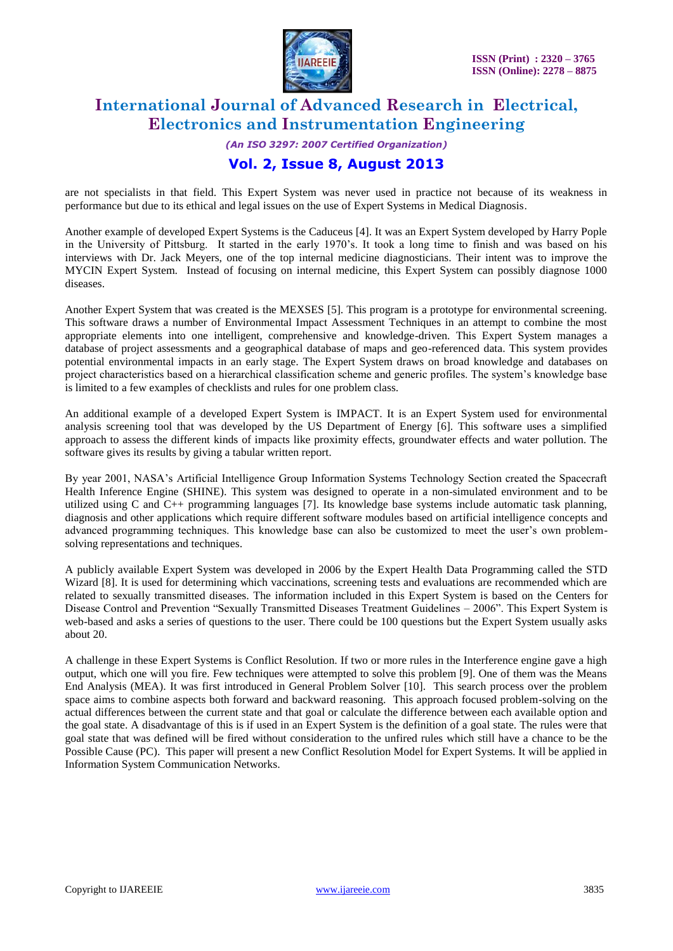

*(An ISO 3297: 2007 Certified Organization)*

### **Vol. 2, Issue 8, August 2013**

are not specialists in that field. This Expert System was never used in practice not because of its weakness in performance but due to its ethical and legal issues on the use of Expert Systems in Medical Diagnosis.

Another example of developed Expert Systems is the Caduceus [4]. It was an Expert System developed by Harry Pople in the University of Pittsburg. It started in the early 1970's. It took a long time to finish and was based on his interviews with Dr. Jack Meyers, one of the top internal medicine diagnosticians. Their intent was to improve the MYCIN Expert System. Instead of focusing on internal medicine, this Expert System can possibly diagnose 1000 diseases.

Another Expert System that was created is the MEXSES [5]. This program is a prototype for environmental screening. This software draws a number of Environmental Impact Assessment Techniques in an attempt to combine the most appropriate elements into one intelligent, comprehensive and knowledge-driven. This Expert System manages a database of project assessments and a geographical database of maps and geo-referenced data. This system provides potential environmental impacts in an early stage. The Expert System draws on broad knowledge and databases on project characteristics based on a hierarchical classification scheme and generic profiles. The system's knowledge base is limited to a few examples of checklists and rules for one problem class.

An additional example of a developed Expert System is IMPACT. It is an Expert System used for environmental analysis screening tool that was developed by the US Department of Energy [6]. This software uses a simplified approach to assess the different kinds of impacts like proximity effects, groundwater effects and water pollution. The software gives its results by giving a tabular written report.

By year 2001, NASA's Artificial Intelligence Group Information Systems Technology Section created the Spacecraft Health Inference Engine (SHINE). This system was designed to operate in a non-simulated environment and to be utilized using C and C++ programming languages [7]. Its knowledge base systems include automatic task planning, diagnosis and other applications which require different software modules based on artificial intelligence concepts and advanced programming techniques. This knowledge base can also be customized to meet the user's own problemsolving representations and techniques.

A publicly available Expert System was developed in 2006 by the Expert Health Data Programming called the STD Wizard [8]. It is used for determining which vaccinations, screening tests and evaluations are recommended which are related to sexually transmitted diseases. The information included in this Expert System is based on the Centers for Disease Control and Prevention "Sexually Transmitted Diseases Treatment Guidelines – 2006". This Expert System is web-based and asks a series of questions to the user. There could be 100 questions but the Expert System usually asks about 20.

A challenge in these Expert Systems is Conflict Resolution. If two or more rules in the Interference engine gave a high output, which one will you fire. Few techniques were attempted to solve this problem [9]. One of them was the Means End Analysis (MEA). It was first introduced in General Problem Solver [10]. This search process over the problem space aims to combine aspects both forward and backward reasoning. This approach focused problem-solving on the actual differences between the current state and that goal or calculate the difference between each available option and the goal state. A disadvantage of this is if used in an Expert System is the definition of a goal state. The rules were that goal state that was defined will be fired without consideration to the unfired rules which still have a chance to be the Possible Cause (PC). This paper will present a new Conflict Resolution Model for Expert Systems. It will be applied in Information System Communication Networks.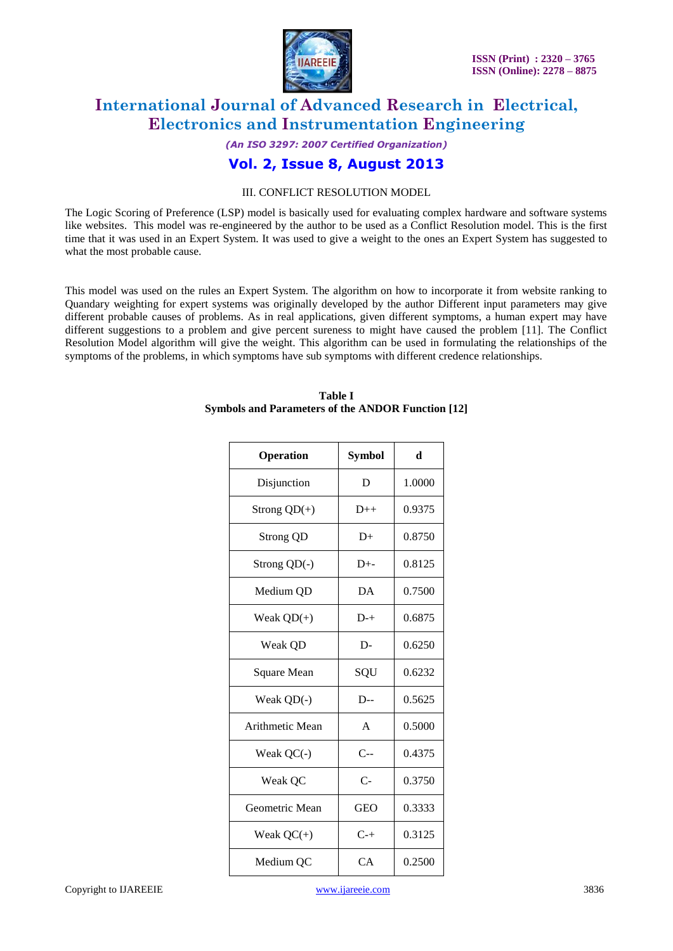

*(An ISO 3297: 2007 Certified Organization)*

### **Vol. 2, Issue 8, August 2013**

#### III. CONFLICT RESOLUTION MODEL

The Logic Scoring of Preference (LSP) model is basically used for evaluating complex hardware and software systems like websites. This model was re-engineered by the author to be used as a Conflict Resolution model. This is the first time that it was used in an Expert System. It was used to give a weight to the ones an Expert System has suggested to what the most probable cause.

This model was used on the rules an Expert System. The algorithm on how to incorporate it from website ranking to Quandary weighting for expert systems was originally developed by the author Different input parameters may give different probable causes of problems. As in real applications, given different symptoms, a human expert may have different suggestions to a problem and give percent sureness to might have caused the problem [11]. The Conflict Resolution Model algorithm will give the weight. This algorithm can be used in formulating the relationships of the symptoms of the problems, in which symptoms have sub symptoms with different credence relationships.

| Operation        | Symbol       | d      |
|------------------|--------------|--------|
| Disjunction      | D            | 1.0000 |
| Strong $QD(+)$   | $D++$        | 0.9375 |
| <b>Strong QD</b> | D+           | 0.8750 |
| Strong $QD(-)$   | $D^{+-}$     | 0.8125 |
| Medium QD        | DA           | 0.7500 |
| Weak $QD(+)$     | $D^{-+}$     | 0.6875 |
| Weak QD          | D-           | 0.6250 |
| Square Mean      | SQU          | 0.6232 |
| Weak $QD(-)$     | $D-$         | 0.5625 |
| Arithmetic Mean  | $\mathsf{A}$ | 0.5000 |
| Weak QC(-)       | $C -$        | 0.4375 |
| Weak QC          | $C-$         | 0.3750 |
| Geometric Mean   | <b>GEO</b>   | 0.3333 |
| Weak $QC(+)$     | $C+$         | 0.3125 |
| Medium QC        | CA           | 0.2500 |

#### **Table I Symbols and Parameters of the ANDOR Function [12]**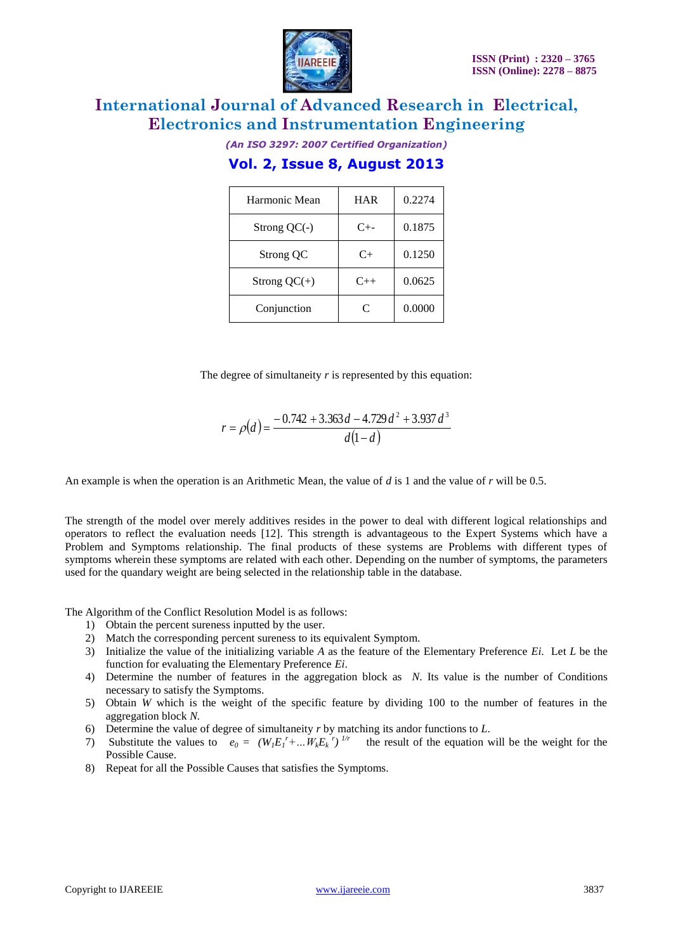

*(An ISO 3297: 2007 Certified Organization)*

## **Vol. 2, Issue 8, August 2013**

| Harmonic Mean  | <b>HAR</b> | 0.2274 |
|----------------|------------|--------|
| Strong $QC(-)$ | $C_{+-}$   | 0.1875 |
| Strong QC      | C+         | 0.1250 |
| Strong $QC(+)$ | $C_{++}$   | 0.0625 |
| Conjunction    | C          | 0.0000 |

The degree of simultaneity *r* is represented by this equation:

$$
r = \rho(d) = \frac{-0.742 + 3.363 d - 4.729 d^{2} + 3.937 d^{3}}{d(1-d)}
$$

An example is when the operation is an Arithmetic Mean, the value of *d* is 1 and the value of *r* will be 0.5.

The strength of the model over merely additives resides in the power to deal with different logical relationships and operators to reflect the evaluation needs [12]. This strength is advantageous to the Expert Systems which have a Problem and Symptoms relationship. The final products of these systems are Problems with different types of symptoms wherein these symptoms are related with each other. Depending on the number of symptoms, the parameters used for the quandary weight are being selected in the relationship table in the database.

The Algorithm of the Conflict Resolution Model is as follows:

- 1) Obtain the percent sureness inputted by the user.
- 2) Match the corresponding percent sureness to its equivalent Symptom.
- 3) Initialize the value of the initializing variable *A* as the feature of the Elementary Preference *Ei*. Let *L* be the function for evaluating the Elementary Preference *Ei*.
- 4) Determine the number of features in the aggregation block as *N*. Its value is the number of Conditions necessary to satisfy the Symptoms.
- 5) Obtain *W* which is the weight of the specific feature by dividing 100 to the number of features in the aggregation block *N.*
- 6) Determine the value of degree of simultaneity *r* by matching its andor functions to *L*.
- 7) Substitute the values to  $e_0 = (W_1 E_1^r + ... W_k E_k^r)^{1/r}$  the result of the equation will be the weight for the Possible Cause.
- 8) Repeat for all the Possible Causes that satisfies the Symptoms.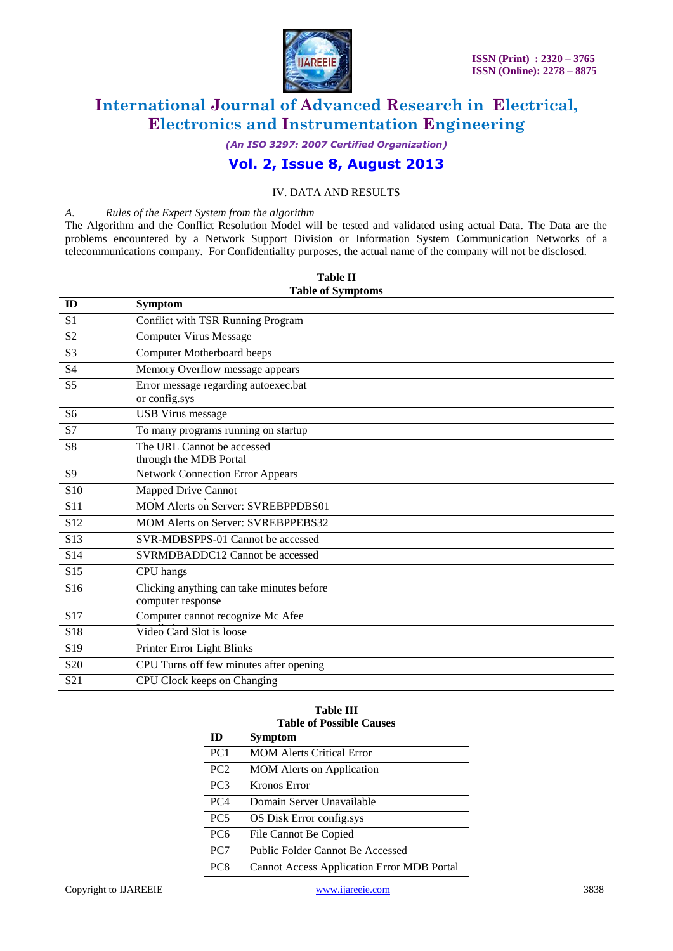

*(An ISO 3297: 2007 Certified Organization)*

# **Vol. 2, Issue 8, August 2013**

#### IV. DATA AND RESULTS

#### *A. Rules of the Expert System from the algorithm*

The Algorithm and the Conflict Resolution Model will be tested and validated using actual Data. The Data are the problems encountered by a Network Support Division or Information System Communication Networks of a telecommunications company. For Confidentiality purposes, the actual name of the company will not be disclosed.

| ID              | <b>Symptom</b>                            |
|-----------------|-------------------------------------------|
| S <sub>1</sub>  | Conflict with TSR Running Program         |
| S <sub>2</sub>  | <b>Computer Virus Message</b>             |
| S <sub>3</sub>  | Computer Motherboard beeps                |
| <b>S4</b>       | Memory Overflow message appears           |
| S <sub>5</sub>  | Error message regarding autoexec.bat      |
|                 | or config.sys                             |
| S <sub>6</sub>  | <b>USB</b> Virus message                  |
| S7              | To many programs running on startup       |
| S <sub>8</sub>  | The URL Cannot be accessed                |
|                 | through the MDB Portal                    |
| S9              | <b>Network Connection Error Appears</b>   |
| S <sub>10</sub> | Mapped Drive Cannot                       |
| S <sub>11</sub> | <b>MOM Alerts on Server: SVREBPPDBS01</b> |
| S <sub>12</sub> | MOM Alerts on Server: SVREBPPEBS32        |
| S <sub>13</sub> | SVR-MDBSPPS-01 Cannot be accessed         |
| S <sub>14</sub> | SVRMDBADDC12 Cannot be accessed           |
| S15             | CPU hangs                                 |
| S <sub>16</sub> | Clicking anything can take minutes before |
|                 | computer response                         |
| S17             | Computer cannot recognize Mc Afee         |
| S <sub>18</sub> | Video Card Slot is loose                  |
| S <sub>19</sub> | Printer Error Light Blinks                |
| S <sub>20</sub> | CPU Turns off few minutes after opening   |
| S <sub>21</sub> | CPU Clock keeps on Changing               |

#### **Table II Table of Symptoms**

| <b>Table III</b><br><b>Table of Possible Causes</b> |                                                   |  |
|-----------------------------------------------------|---------------------------------------------------|--|
| ID)                                                 | Symptom                                           |  |
| PC <sub>1</sub>                                     | <b>MOM Alerts Critical Error</b>                  |  |
| PC <sub>2</sub>                                     | <b>MOM</b> Alerts on Application                  |  |
| PC <sub>3</sub>                                     | Kronos Error                                      |  |
| PC <sub>4</sub>                                     | Domain Server Unavailable                         |  |
| PC <sub>5</sub>                                     | OS Disk Error config.sys                          |  |
| PC <sub>6</sub>                                     | File Cannot Be Copied                             |  |
| PC <sub>7</sub>                                     | Public Folder Cannot Be Accessed                  |  |
| PC <sub>8</sub>                                     | <b>Cannot Access Application Error MDB Portal</b> |  |
|                                                     |                                                   |  |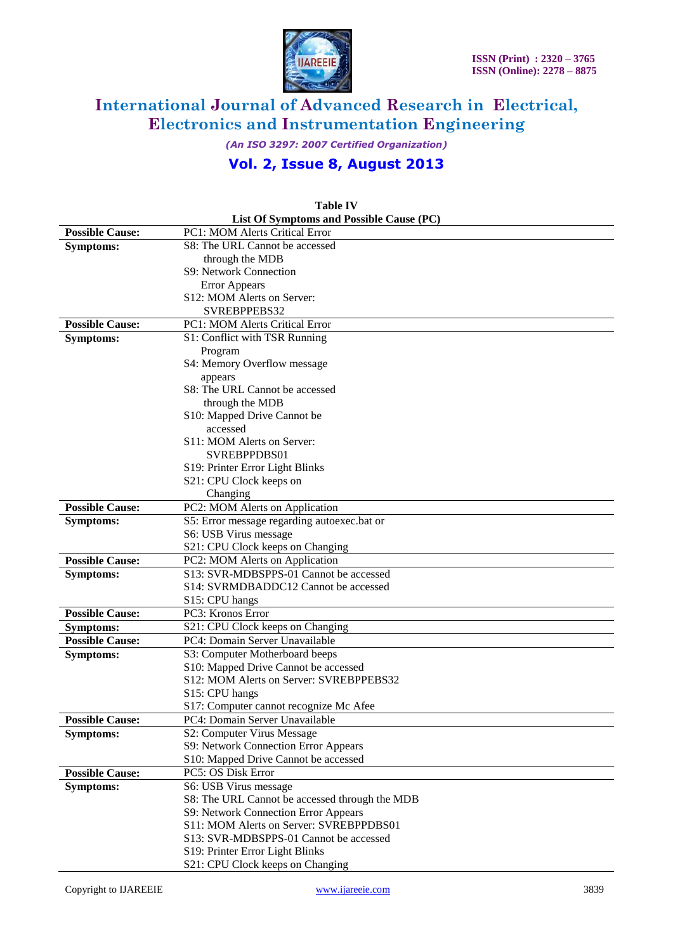

*(An ISO 3297: 2007 Certified Organization)*

# **Vol. 2, Issue 8, August 2013**

| List Of Symptoms and Possible Cause (PC) |                                                                                 |  |
|------------------------------------------|---------------------------------------------------------------------------------|--|
| <b>Possible Cause:</b>                   | PC1: MOM Alerts Critical Error                                                  |  |
| <b>Symptoms:</b>                         | S8: The URL Cannot be accessed                                                  |  |
|                                          | through the MDB                                                                 |  |
|                                          | S9: Network Connection                                                          |  |
|                                          | <b>Error Appears</b>                                                            |  |
|                                          | S12: MOM Alerts on Server:                                                      |  |
|                                          | SVREBPPEBS32                                                                    |  |
| <b>Possible Cause:</b>                   | <b>PC1: MOM Alerts Critical Error</b>                                           |  |
| <b>Symptoms:</b>                         | S1: Conflict with TSR Running                                                   |  |
|                                          | Program                                                                         |  |
|                                          | S4: Memory Overflow message                                                     |  |
|                                          | appears                                                                         |  |
|                                          | S8: The URL Cannot be accessed                                                  |  |
|                                          | through the MDB                                                                 |  |
|                                          | S10: Mapped Drive Cannot be                                                     |  |
|                                          | accessed                                                                        |  |
|                                          | S11: MOM Alerts on Server:                                                      |  |
|                                          | SVREBPPDBS01                                                                    |  |
|                                          | S19: Printer Error Light Blinks                                                 |  |
|                                          | S21: CPU Clock keeps on                                                         |  |
|                                          | Changing                                                                        |  |
| <b>Possible Cause:</b>                   | PC2: MOM Alerts on Application                                                  |  |
| <b>Symptoms:</b>                         | S5: Error message regarding autoexec.bat or                                     |  |
|                                          | S6: USB Virus message                                                           |  |
|                                          | S21: CPU Clock keeps on Changing                                                |  |
| <b>Possible Cause:</b>                   | PC2: MOM Alerts on Application                                                  |  |
| <b>Symptoms:</b>                         | S13: SVR-MDBSPPS-01 Cannot be accessed                                          |  |
|                                          | S14: SVRMDBADDC12 Cannot be accessed                                            |  |
|                                          | S15: CPU hangs                                                                  |  |
| <b>Possible Cause:</b>                   | PC3: Kronos Error                                                               |  |
| <b>Symptoms:</b>                         | S21: CPU Clock keeps on Changing                                                |  |
| <b>Possible Cause:</b>                   | PC4: Domain Server Unavailable                                                  |  |
| <b>Symptoms:</b>                         | S3: Computer Motherboard beeps                                                  |  |
|                                          | S10: Mapped Drive Cannot be accessed<br>S12: MOM Alerts on Server: SVREBPPEBS32 |  |
|                                          | S15: CPU hangs                                                                  |  |
|                                          | S17: Computer cannot recognize Mc Afee                                          |  |
| <b>Possible Cause:</b>                   | PC4: Domain Server Unavailable                                                  |  |
| <b>Symptoms:</b>                         | S2: Computer Virus Message                                                      |  |
|                                          | S9: Network Connection Error Appears                                            |  |
|                                          | S10: Mapped Drive Cannot be accessed                                            |  |
| <b>Possible Cause:</b>                   | PC5: OS Disk Error                                                              |  |
| <b>Symptoms:</b>                         | S6: USB Virus message                                                           |  |
|                                          | S8: The URL Cannot be accessed through the MDB                                  |  |
|                                          | S9: Network Connection Error Appears                                            |  |
|                                          | S11: MOM Alerts on Server: SVREBPPDBS01                                         |  |
|                                          | S13: SVR-MDBSPPS-01 Cannot be accessed                                          |  |
|                                          | S19: Printer Error Light Blinks                                                 |  |
|                                          | S21: CPU Clock keeps on Changing                                                |  |

# **Table IV**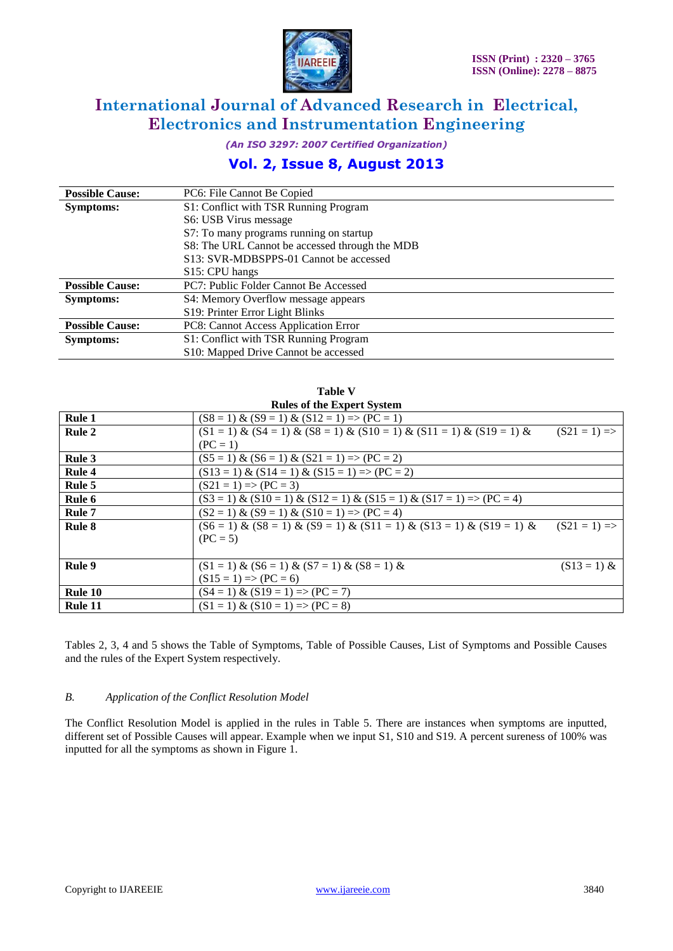

*(An ISO 3297: 2007 Certified Organization)*

# **Vol. 2, Issue 8, August 2013**

| <b>Possible Cause:</b> | PC6: File Cannot Be Copied                     |
|------------------------|------------------------------------------------|
| <b>Symptoms:</b>       | S1: Conflict with TSR Running Program          |
|                        | S6: USB Virus message                          |
|                        | S7: To many programs running on startup        |
|                        | S8: The URL Cannot be accessed through the MDB |
|                        | S13: SVR-MDBSPPS-01 Cannot be accessed         |
|                        | S15: CPU hangs                                 |
| <b>Possible Cause:</b> | PC7: Public Folder Cannot Be Accessed          |
| <b>Symptoms:</b>       | S4: Memory Overflow message appears            |
|                        | S19: Printer Error Light Blinks                |
| <b>Possible Cause:</b> | PC8: Cannot Access Application Error           |
| <b>Symptoms:</b>       | S1: Conflict with TSR Running Program          |
|                        | S10: Mapped Drive Cannot be accessed           |

**Table V**

| <b>Rules of the Expert System</b> |                                                                                  |                |
|-----------------------------------|----------------------------------------------------------------------------------|----------------|
| Rule 1                            | $(S8 = 1) \& (S9 = 1) \& (S12 = 1) \Rightarrow (PC = 1)$                         |                |
| Rule 2                            | $(S1 = 1) & (S4 = 1) & (S8 = 1) & (S10 = 1) & (S11 = 1) & (S19 = 1) & (S19 = 1)$ | $(S21 = 1)$ => |
|                                   | $(PC = 1)$                                                                       |                |
| Rule 3                            | $(S5 = 1) \& (S6 = 1) \& (S21 = 1) \Rightarrow (PC = 2)$                         |                |
| Rule 4                            | $(S13 = 1) & (S14 = 1) & (S15 = 1) \Rightarrow (PC = 2)$                         |                |
| Rule 5                            | $(S21 = 1) \Rightarrow (PC = 3)$                                                 |                |
| Rule 6                            | $(S3 = 1) & (S10 = 1) & (S12 = 1) & (S15 = 1) & (S17 = 1) = (PC = 4)$            |                |
| Rule 7                            | $(S2 = 1) \& (S9 = 1) \& (S10 = 1) \Rightarrow (PC = 4)$                         |                |
| Rule 8                            | $(S6 = 1) & (S8 = 1) & (S9 = 1) & (S11 = 1) & (S13 = 1) & (S19 = 1) & (S19 = 1)$ | $(S21 = 1)$ => |
|                                   | $(PC = 5)$                                                                       |                |
|                                   |                                                                                  |                |
| Rule 9                            | $(S1 = 1) \& (S6 = 1) \& (S7 = 1) \& (S8 = 1) \&$                                | $(S13 = 1)$ &  |
|                                   | $(S15 = 1) \Rightarrow (PC = 6)$                                                 |                |
| Rule 10                           | $(S4 = 1) & (S19 = 1) \Rightarrow (PC = 7)$                                      |                |
| Rule 11                           | $(S1 = 1) & (S10 = 1) \Rightarrow (PC = 8)$                                      |                |

Tables 2, 3, 4 and 5 shows the Table of Symptoms, Table of Possible Causes, List of Symptoms and Possible Causes and the rules of the Expert System respectively.

#### *B. Application of the Conflict Resolution Model*

The Conflict Resolution Model is applied in the rules in Table 5. There are instances when symptoms are inputted, different set of Possible Causes will appear. Example when we input S1, S10 and S19. A percent sureness of 100% was inputted for all the symptoms as shown in Figure 1.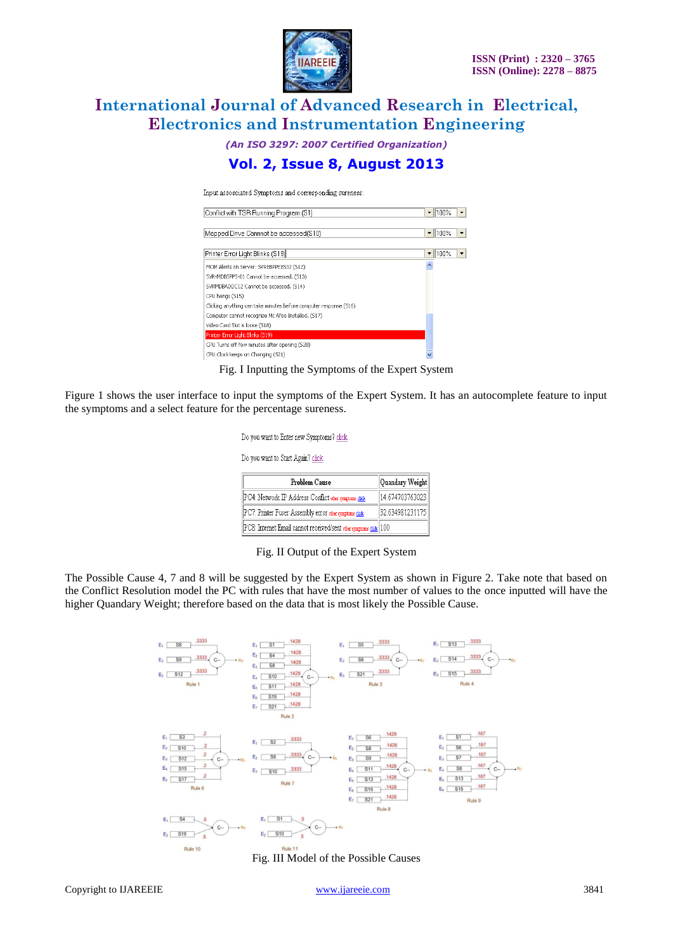

*(An ISO 3297: 2007 Certified Organization)*

# **Vol. 2, Issue 8, August 2013**

Input assosciated Symptoms and corresponding sureness:

| Conflict with TSR Running Program (S1)                            | 1100%<br>$\overline{\phantom{a}}$                            |
|-------------------------------------------------------------------|--------------------------------------------------------------|
|                                                                   |                                                              |
| Mapped Drive Cannnot be accessed(S10)                             | 100%<br>$\overline{\phantom{a}}$<br>$\overline{\phantom{a}}$ |
|                                                                   |                                                              |
| Printer Error Light Blinks (S19)                                  | 100%<br>▼<br>$\overline{\phantom{a}}$                        |
| MOM Alerts on Server: SVREBPPEBS32 (S12)                          |                                                              |
| SVR-MDBSPPS-01 Cannot be accessed. (S13)                          |                                                              |
| SVRMDBADDC12 Cannot be accessed. (514)                            |                                                              |
| CPU hangs (515)                                                   |                                                              |
| Clicking anything can take minutes before computer response (516) |                                                              |
| Computer cannot recognize Mc Afee Installed. (S17)                |                                                              |
| Video Card Slot is loose (518)                                    |                                                              |
| Printer Error Light Blinks (519)                                  |                                                              |
| CPU Turns off few minutes after opening (S20)                     |                                                              |
| CPU Clock keeps on Changing (521)                                 |                                                              |

Fig. I Inputting the Symptoms of the Expert System

Figure 1 shows the user interface to input the symptoms of the Expert System. It has an autocomplete feature to input the symptoms and a select feature for the percentage sureness.

| Do you want to Enter new Symptoms? click                          |                 |  |  |
|-------------------------------------------------------------------|-----------------|--|--|
| Do you want to Start Again? click                                 |                 |  |  |
| Problem Cause                                                     | Quandary Weight |  |  |
| PC4: Network IP Address Conflict other symptoms click             | 14.674703763023 |  |  |
| PC7: Printer Fuser Assembly error other symptoms click            | 32.634981231175 |  |  |
| PC8: Internet Email cannot received/sent other symptoms click 100 |                 |  |  |

Fig. II Output of the Expert System

The Possible Cause 4, 7 and 8 will be suggested by the Expert System as shown in Figure 2. Take note that based on the Conflict Resolution model the PC with rules that have the most number of values to the once inputted will have the higher Quandary Weight; therefore based on the data that is most likely the Possible Cause.



Fig. III Model of the Possible Causes